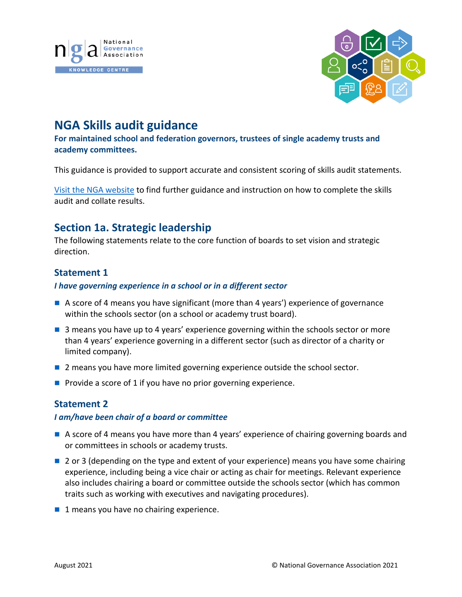



# **NGA Skills audit guidance**

**For maintained school and federation governors, trustees of single academy trusts and academy committees.**

This guidance is provided to support accurate and consistent scoring of skills audit statements.

[Visit the NGA website](https://www.nga.org.uk/Knowledge-Centre/Good-governance/Effective-governance/Governing-Board-Self-Review-(1)/Skills-Audit-and-Skills-Matrix.aspx) to find further guidance and instruction on how to complete the skills audit and collate results.

# **Section 1a. Strategic leadership**

The following statements relate to the core function of boards to set vision and strategic direction.

## **Statement 1**

### *I have governing experience in a school or in a different sector*

- A score of 4 means you have significant (more than 4 years') experience of governance within the schools sector (on a school or academy trust board).
- **3** means you have up to 4 years' experience governing within the schools sector or more than 4 years' experience governing in a different sector (such as director of a charity or limited company).
- **2** 2 means you have more limited governing experience outside the school sector.
- Provide a score of 1 if you have no prior governing experience.

## **Statement 2**

#### *I am/have been chair of a board or committee*

- A score of 4 means you have more than 4 years' experience of chairing governing boards and or committees in schools or academy trusts.
- 2 or 3 (depending on the type and extent of your experience) means you have some chairing experience, including being a vice chair or acting as chair for meetings. Relevant experience also includes chairing a board or committee outside the schools sector (which has common traits such as working with executives and navigating procedures).
- 1 means you have no chairing experience.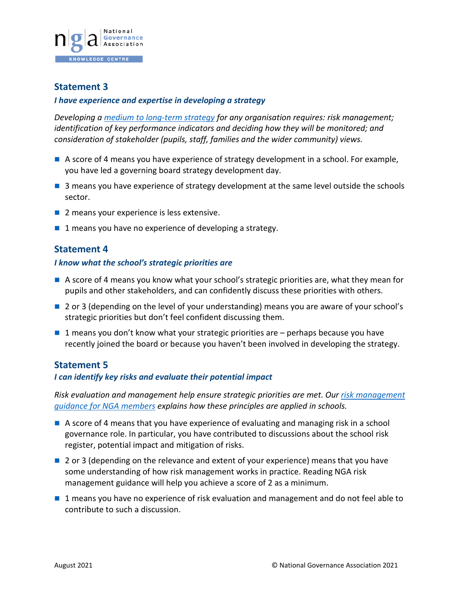

#### *I have experience and expertise in developing a strategy*

*Developing a [medium to long-term strategy](https://www.nga.org.uk/Knowledge-Centre/Vision-ethos-and-strategic-direction/Being-Strategic-A-guide-for-governing-boards.aspx) for any organisation requires: risk management; identification of key performance indicators and deciding how they will be monitored; and consideration of stakeholder (pupils, staff, families and the wider community) views.*

- A score of 4 means you have experience of strategy development in a school. For example, you have led a governing board strategy development day.
- 3 means you have experience of strategy development at the same level outside the schools sector.
- 2 means your experience is less extensive.
- $\blacksquare$  1 means you have no experience of developing a strategy.

### **Statement 4**

#### *I know what the school's strategic priorities are*

- $\blacksquare$  A score of 4 means you know what your school's strategic priorities are, what they mean for pupils and other stakeholders, and can confidently discuss these priorities with others.
- 2 or 3 (depending on the level of your understanding) means you are aware of your school's strategic priorities but don't feel confident discussing them.
- $\blacksquare$  1 means you don't know what your strategic priorities are perhaps because you have recently joined the board or because you haven't been involved in developing the strategy.

#### **Statement 5**

#### *I can identify key risks and evaluate their potential impact*

*Risk evaluation and management help ensure strategic priorities are met. Our [risk management](https://www.nga.org.uk/Knowledge-Centre/Vision-ethos-and-strategic-direction/Managing-Risk-A-guide-for-governing-boards.aspx)  [guidance for NGA members](https://www.nga.org.uk/Knowledge-Centre/Vision-ethos-and-strategic-direction/Managing-Risk-A-guide-for-governing-boards.aspx) explains how these principles are applied in schools.*

- A score of 4 means that you have experience of evaluating and managing risk in a school governance role. In particular, you have contributed to discussions about the school risk register, potential impact and mitigation of risks.
- 2 or 3 (depending on the relevance and extent of your experience) means that you have some understanding of how risk management works in practice. Reading NGA risk management guidance will help you achieve a score of 2 as a minimum.
- **1** means you have no experience of risk evaluation and management and do not feel able to contribute to such a discussion.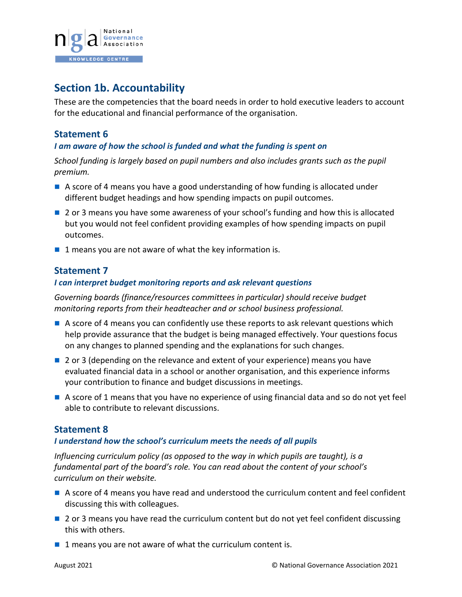

# **Section 1b. Accountability**

These are the competencies that the board needs in order to hold executive leaders to account for the educational and financial performance of the organisation.

## **Statement 6**

#### *I am aware of how the school is funded and what the funding is spent on*

*School funding is largely based on pupil numbers and also includes grants such as the pupil premium.* 

- A score of 4 means you have a good understanding of how funding is allocated under different budget headings and how spending impacts on pupil outcomes.
- **2** or 3 means you have some awareness of your school's funding and how this is allocated but you would not feel confident providing examples of how spending impacts on pupil outcomes.
- $\blacksquare$  1 means you are not aware of what the key information is.

## **Statement 7**

#### *I can interpret budget monitoring reports and ask relevant questions*

*Governing boards (finance/resources committees in particular) should receive budget monitoring reports from their headteacher and or school business professional.* 

- A score of 4 means you can confidently use these reports to ask relevant questions which help provide assurance that the budget is being managed effectively. Your questions focus on any changes to planned spending and the explanations for such changes.
- 2 or 3 (depending on the relevance and extent of your experience) means you have evaluated financial data in a school or another organisation, and this experience informs your contribution to finance and budget discussions in meetings.
- A score of 1 means that you have no experience of using financial data and so do not yet feel able to contribute to relevant discussions.

## **Statement 8**

#### *I understand how the school's curriculum meets the needs of all pupils*

*Influencing curriculum policy (as opposed to the way in which pupils are taught), is a fundamental part of the board's role. You can read about the content of your school's curriculum on their website.*

- A score of 4 means you have read and understood the curriculum content and feel confident discussing this with colleagues.
- **2** or 3 means you have read the curriculum content but do not yet feel confident discussing this with others.
- $\blacksquare$  1 means you are not aware of what the curriculum content is.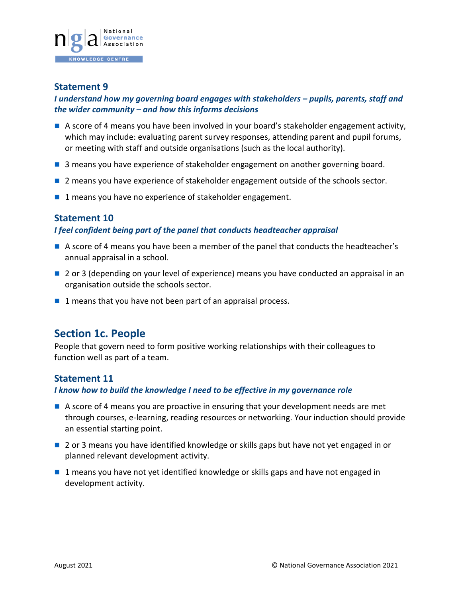

### *I understand how my governing board engages with stakeholders – pupils, parents, staff and the wider community – and how this informs decisions*

- A score of 4 means you have been involved in your board's stakeholder engagement activity, which may include: evaluating parent survey responses, attending parent and pupil forums, or meeting with staff and outside organisations (such as the local authority).
- **3** means you have experience of stakeholder engagement on another governing board.
- **2** means you have experience of stakeholder engagement outside of the schools sector.
- 1 means you have no experience of stakeholder engagement.

### **Statement 10**

#### *I feel confident being part of the panel that conducts headteacher appraisal*

- A score of 4 means you have been a member of the panel that conducts the headteacher's annual appraisal in a school.
- 2 or 3 (depending on your level of experience) means you have conducted an appraisal in an organisation outside the schools sector.
- $\blacksquare$  1 means that you have not been part of an appraisal process.

# **Section 1c. People**

People that govern need to form positive working relationships with their colleagues to function well as part of a team.

## **Statement 11**

#### *I know how to build the knowledge I need to be effective in my governance role*

- A score of 4 means you are proactive in ensuring that your development needs are met through courses, e-learning, reading resources or networking. Your induction should provide an essential starting point.
- 2 or 3 means you have identified knowledge or skills gaps but have not yet engaged in or planned relevant development activity.
- 1 means you have not yet identified knowledge or skills gaps and have not engaged in development activity.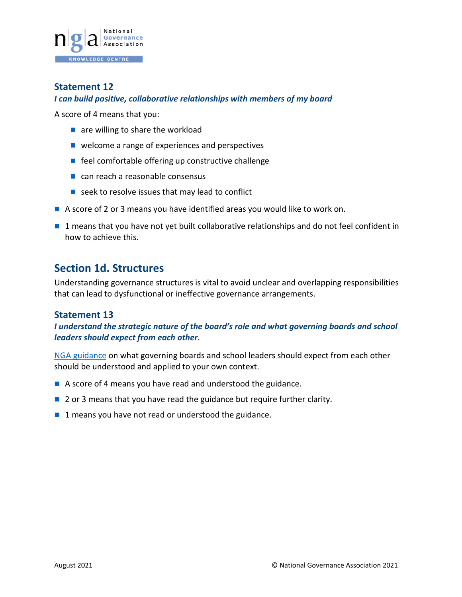

#### *I can build positive, collaborative relationships with members of my board*

A score of 4 means that you:

- $\blacksquare$  are willing to share the workload
- welcome a range of experiences and perspectives
- $\blacksquare$  feel comfortable offering up constructive challenge
- can reach a reasonable consensus
- $\blacksquare$  seek to resolve issues that may lead to conflict
- A score of 2 or 3 means you have identified areas you would like to work on.
- 1 means that you have not yet built collaborative relationships and do not feel confident in how to achieve this.

# **Section 1d. Structures**

Understanding governance structures is vital to avoid unclear and overlapping responsibilities that can lead to dysfunctional or ineffective governance arrangements.

## **Statement 13**

*I understand the strategic nature of the board's role and what governing boards and school leaders should expect from each other.*

NGA [guidance](https://www.nga.org.uk/Knowledge-Centre/Leaders-governing-boards/What-governing-boards-and-school-leaders-should-expect-from-each-other.aspx) on what governing boards and school leaders should expect from each other should be understood and applied to your own context.

- A score of 4 means you have read and understood the guidance.
- 2 or 3 means that you have read the guidance but require further clarity.
- $\blacksquare$  1 means you have not read or understood the guidance.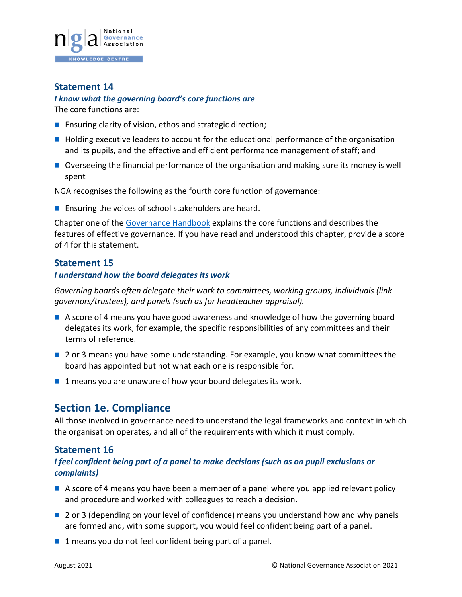

#### *I know what the governing board's core functions are*

The core functions are:

- Ensuring clarity of vision, ethos and strategic direction;
- $\blacksquare$  Holding executive leaders to account for the educational performance of the organisation and its pupils, and the effective and efficient performance management of staff; and
- Overseeing the financial performance of the organisation and making sure its money is well spent

NGA recognises the following as the fourth core function of governance:

**Ensuring the voices of school stakeholders are heard.** 

Chapter one of th[e Governance Handbook](https://assets.publishing.service.gov.uk/government/uploads/system/uploads/attachment_data/file/925104/Governance_Handbook_FINAL.pdf) explains the core functions and describes the features of effective governance. If you have read and understood this chapter, provide a score of 4 for this statement.

### **Statement 15**

#### *I understand how the board delegates its work*

*Governing boards often delegate their work to committees, working groups, individuals (link governors/trustees), and panels (such as for headteacher appraisal).* 

- A score of 4 means you have good awareness and knowledge of how the governing board delegates its work, for example, the specific responsibilities of any committees and their terms of reference.
- **2** or 3 means you have some understanding. For example, you know what committees the board has appointed but not what each one is responsible for.
- $\blacksquare$  1 means you are unaware of how your board delegates its work.

# **Section 1e. Compliance**

All those involved in governance need to understand the legal frameworks and context in which the organisation operates, and all of the requirements with which it must comply.

#### **Statement 16**

### *I feel confident being part of a panel to make decisions (such as on pupil exclusions or complaints)*

- A score of 4 means you have been a member of a panel where you applied relevant policy and procedure and worked with colleagues to reach a decision.
- **2** or 3 (depending on your level of confidence) means you understand how and why panels are formed and, with some support, you would feel confident being part of a panel.
- $\blacksquare$  1 means you do not feel confident being part of a panel.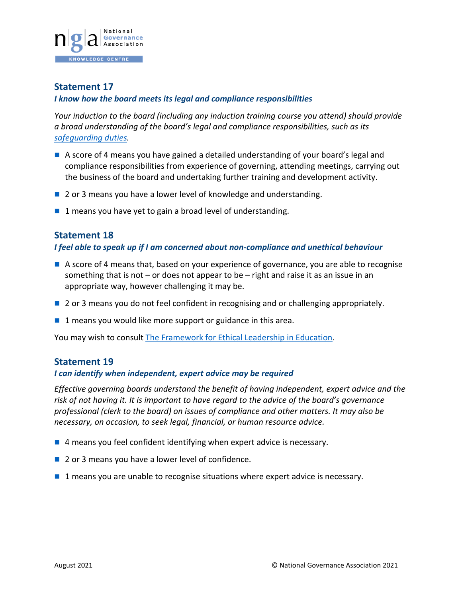

#### *I know how the board meets its legal and compliance responsibilities*

*Your induction to the board (including any induction training course you attend) should provide a broad understanding of the board's legal and compliance responsibilities, such as its [safeguarding duties.](https://www.gov.uk/government/publications/keeping-children-safe-in-education--2)*

- A score of 4 means you have gained a detailed understanding of your board's legal and compliance responsibilities from experience of governing, attending meetings, carrying out the business of the board and undertaking further training and development activity.
- 2 or 3 means you have a lower level of knowledge and understanding.
- 1 means you have yet to gain a broad level of understanding.

## **Statement 18**

#### *I feel able to speak up if I am concerned about non-compliance and unethical behaviour*

- A score of 4 means that, based on your experience of governance, you are able to recognise something that is not  $-$  or does not appear to be  $-$  right and raise it as an issue in an appropriate way, however challenging it may be.
- **2** or 3 means you do not feel confident in recognising and or challenging appropriately.
- $\blacksquare$  1 means you would like more support or guidance in this area.

You may wish to consult [The Framework for Ethical Leadership in Education.](https://www.nga.org.uk/ethicalleadership.aspx)

#### **Statement 19**

#### *I can identify when independent, expert advice may be required*

*Effective governing boards understand the benefit of having independent, expert advice and the risk of not having it. It is important to have regard to the advice of the board's governance professional (clerk to the board) on issues of compliance and other matters. It may also be necessary, on occasion, to seek legal, financial, or human resource advice.* 

- $\blacksquare$  4 means you feel confident identifying when expert advice is necessary.
- 2 or 3 means you have a lower level of confidence.
- 1 means you are unable to recognise situations where expert advice is necessary.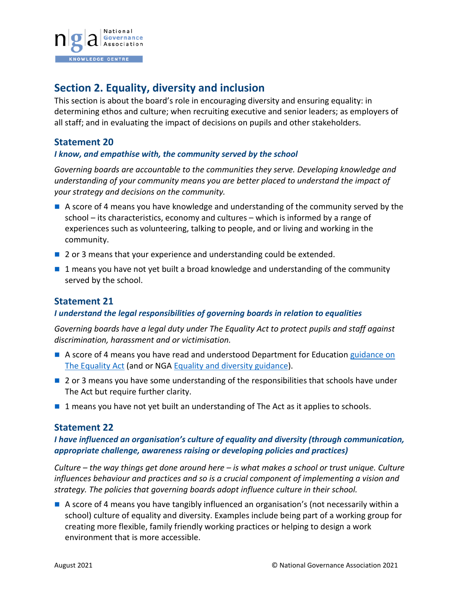

# **Section 2. Equality, diversity and inclusion**

This section is about the board's role in encouraging diversity and ensuring equality: in determining ethos and culture; when recruiting executive and senior leaders; as employers of all staff; and in evaluating the impact of decisions on pupils and other stakeholders.

## **Statement 20**

#### *I know, and empathise with, the community served by the school*

*Governing boards are accountable to the communities they serve. Developing knowledge and understanding of your community means you are better placed to understand the impact of your strategy and decisions on the community.*

- A score of 4 means you have knowledge and understanding of the community served by the school – its characteristics, economy and cultures – which is informed by a range of experiences such as volunteering, talking to people, and or living and working in the community.
- 2 or 3 means that your experience and understanding could be extended.
- $\blacksquare$  1 means you have not yet built a broad knowledge and understanding of the community served by the school.

## **Statement 21**

#### *I understand the legal responsibilities of governing boards in relation to equalities*

*Governing boards have a legal duty under The Equality Act to protect pupils and staff against discrimination, harassment and or victimisation.*

- A score of 4 means you have read and understood Department for Education guidance on [The Equality Act](https://www.gov.uk/government/publications/equality-act-2010-advice-for-schools) (and or NGA [Equality and diversity guidance\)](https://www.nga.org.uk/Knowledge-Centre/Vision-ethos-and-strategic-direction/Equality-and-diversity-responsibilities,-culture-a.aspx).
- **2** or 3 means you have some understanding of the responsibilities that schools have under The Act but require further clarity.
- 1 means you have not yet built an understanding of The Act as it applies to schools.

#### **Statement 22**

### *I have influenced an organisation's culture of equality and diversity (through communication, appropriate challenge, awareness raising or developing policies and practices)*

*Culture – the way things get done around here – is what makes a school or trust unique. Culture influences behaviour and practices and so is a crucial component of implementing a vision and strategy. The policies that governing boards adopt influence culture in their school.*

A score of 4 means you have tangibly influenced an organisation's (not necessarily within a school) culture of equality and diversity. Examples include being part of a working group for creating more flexible, family friendly working practices or helping to design a work environment that is more accessible.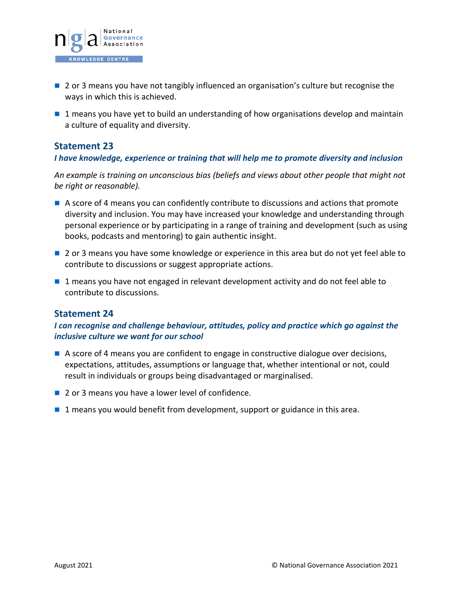

- 2 or 3 means you have not tangibly influenced an organisation's culture but recognise the ways in which this is achieved.
- 1 means you have yet to build an understanding of how organisations develop and maintain a culture of equality and diversity.

### *I have knowledge, experience or training that will help me to promote diversity and inclusion*

*An example is training on unconscious bias (beliefs and views about other people that might not be right or reasonable).*

- A score of 4 means you can confidently contribute to discussions and actions that promote diversity and inclusion. You may have increased your knowledge and understanding through personal experience or by participating in a range of training and development (such as using books, podcasts and mentoring) to gain authentic insight.
- 2 or 3 means you have some knowledge or experience in this area but do not yet feel able to contribute to discussions or suggest appropriate actions.
- 1 means you have not engaged in relevant development activity and do not feel able to contribute to discussions.

## **Statement 24**

## *I can recognise and challenge behaviour, attitudes, policy and practice which go against the inclusive culture we want for our school*

- A score of 4 means you are confident to engage in constructive dialogue over decisions, expectations, attitudes, assumptions or language that, whether intentional or not, could result in individuals or groups being disadvantaged or marginalised.
- 2 or 3 means you have a lower level of confidence.
- 1 means you would benefit from development, support or guidance in this area.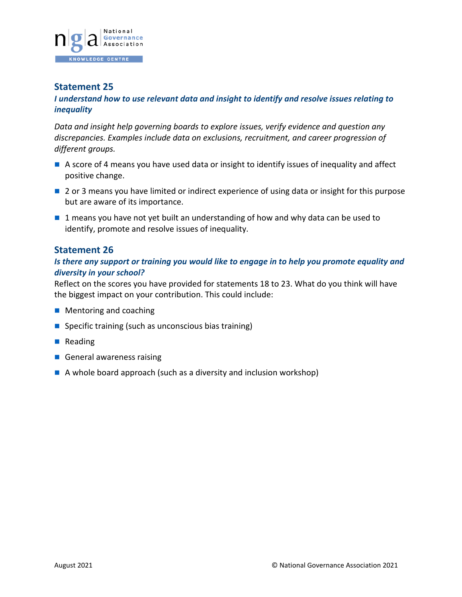

#### *I understand how to use relevant data and insight to identify and resolve issues relating to inequality*

*Data and insight help governing boards to explore issues, verify evidence and question any discrepancies. Examples include data on exclusions, recruitment, and career progression of different groups.*

- A score of 4 means you have used data or insight to identify issues of inequality and affect positive change.
- 2 or 3 means you have limited or indirect experience of using data or insight for this purpose but are aware of its importance.
- 1 means you have not yet built an understanding of how and why data can be used to identify, promote and resolve issues of inequality.

### **Statement 26**

### *Is there any support or training you would like to engage in to help you promote equality and diversity in your school?*

Reflect on the scores you have provided for statements 18 to 23. What do you think will have the biggest impact on your contribution. This could include:

- **Mentoring and coaching**
- $\blacksquare$  Specific training (such as unconscious bias training)
- Reading
- General awareness raising
- $\blacksquare$  A whole board approach (such as a diversity and inclusion workshop)